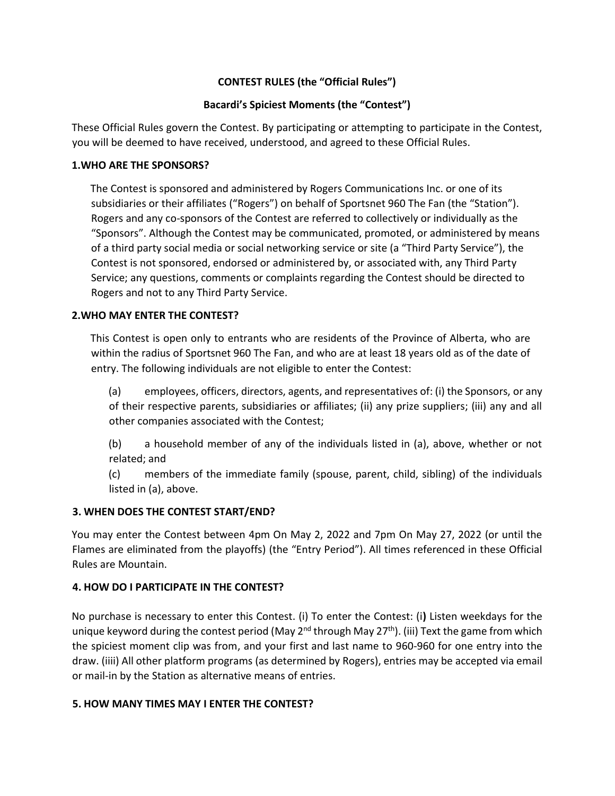# **CONTEST RULES (the "Official Rules")**

# **Bacardi's Spiciest Moments (the "Contest")**

These Official Rules govern the Contest. By participating or attempting to participate in the Contest, you will be deemed to have received, understood, and agreed to these Official Rules.

### **1.WHO ARE THE SPONSORS?**

The Contest is sponsored and administered by Rogers Communications Inc. or one of its subsidiaries or their affiliates ("Rogers") on behalf of Sportsnet 960 The Fan (the "Station"). Rogers and any co-sponsors of the Contest are referred to collectively or individually as the "Sponsors". Although the Contest may be communicated, promoted, or administered by means of a third party social media or social networking service or site (a "Third Party Service"), the Contest is not sponsored, endorsed or administered by, or associated with, any Third Party Service; any questions, comments or complaints regarding the Contest should be directed to Rogers and not to any Third Party Service.

# **2.WHO MAY ENTER THE CONTEST?**

This Contest is open only to entrants who are residents of the Province of Alberta, who are within the radius of Sportsnet 960 The Fan, and who are at least 18 years old as of the date of entry. The following individuals are not eligible to enter the Contest:

(a) employees, officers, directors, agents, and representatives of: (i) the Sponsors, or any of their respective parents, subsidiaries or affiliates; (ii) any prize suppliers; (iii) any and all other companies associated with the Contest;

(b) a household member of any of the individuals listed in (a), above, whether or not related; and

(c) members of the immediate family (spouse, parent, child, sibling) of the individuals listed in (a), above.

# **3. WHEN DOES THE CONTEST START/END?**

You may enter the Contest between 4pm On May 2, 2022 and 7pm On May 27, 2022 (or until the Flames are eliminated from the playoffs) (the "Entry Period"). All times referenced in these Official Rules are Mountain.

# **4. HOW DO I PARTICIPATE IN THE CONTEST?**

No purchase is necessary to enter this Contest. (i) To enter the Contest: (i**)** Listen weekdays for the unique keyword during the contest period (May 2<sup>nd</sup> through May 27<sup>th</sup>). (iii) Text the game from which the spiciest moment clip was from, and your first and last name to 960-960 for one entry into the draw. (iiii) All other platform programs (as determined by Rogers), entries may be accepted via email or mail-in by the Station as alternative means of entries.

# **5. HOW MANY TIMES MAY I ENTER THE CONTEST?**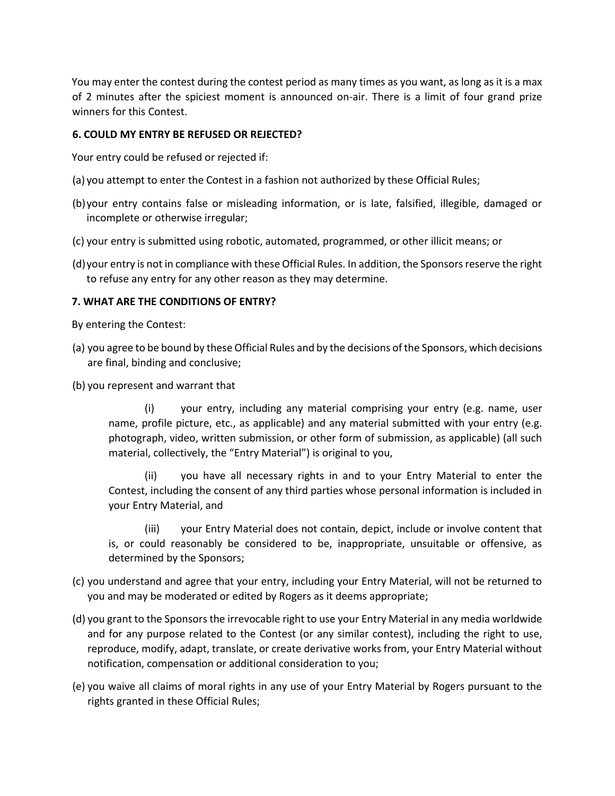You may enter the contest during the contest period as many times as you want, as long as it is a max of 2 minutes after the spiciest moment is announced on-air. There is a limit of four grand prize winners for this Contest.

#### **6. COULD MY ENTRY BE REFUSED OR REJECTED?**

Your entry could be refused or rejected if:

- (a) you attempt to enter the Contest in a fashion not authorized by these Official Rules;
- (b)your entry contains false or misleading information, or is late, falsified, illegible, damaged or incomplete or otherwise irregular;
- (c) your entry is submitted using robotic, automated, programmed, or other illicit means; or
- (d)your entry is not in compliance with these Official Rules. In addition, the Sponsors reserve the right to refuse any entry for any other reason as they may determine.

#### **7. WHAT ARE THE CONDITIONS OF ENTRY?**

By entering the Contest:

- (a) you agree to be bound by these Official Rules and by the decisions of the Sponsors, which decisions are final, binding and conclusive;
- (b) you represent and warrant that

(i) your entry, including any material comprising your entry (e.g. name, user name, profile picture, etc., as applicable) and any material submitted with your entry (e.g. photograph, video, written submission, or other form of submission, as applicable) (all such material, collectively, the "Entry Material") is original to you,

(ii) you have all necessary rights in and to your Entry Material to enter the Contest, including the consent of any third parties whose personal information is included in your Entry Material, and

(iii) your Entry Material does not contain, depict, include or involve content that is, or could reasonably be considered to be, inappropriate, unsuitable or offensive, as determined by the Sponsors;

- (c) you understand and agree that your entry, including your Entry Material, will not be returned to you and may be moderated or edited by Rogers as it deems appropriate;
- (d) you grant to the Sponsors the irrevocable right to use your Entry Material in any media worldwide and for any purpose related to the Contest (or any similar contest), including the right to use, reproduce, modify, adapt, translate, or create derivative works from, your Entry Material without notification, compensation or additional consideration to you;
- (e) you waive all claims of moral rights in any use of your Entry Material by Rogers pursuant to the rights granted in these Official Rules;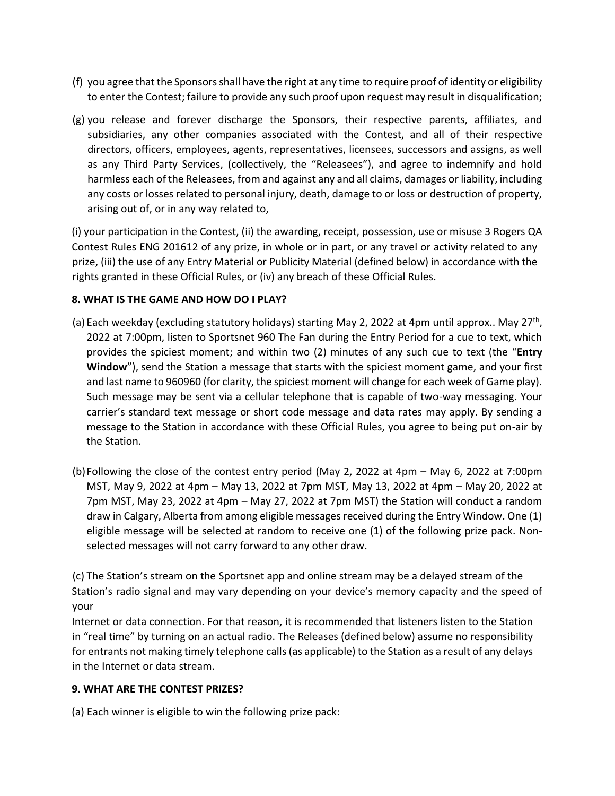- (f) you agree that the Sponsors shall have the right at any time to require proof of identity or eligibility to enter the Contest; failure to provide any such proof upon request may result in disqualification;
- (g) you release and forever discharge the Sponsors, their respective parents, affiliates, and subsidiaries, any other companies associated with the Contest, and all of their respective directors, officers, employees, agents, representatives, licensees, successors and assigns, as well as any Third Party Services, (collectively, the "Releasees"), and agree to indemnify and hold harmless each of the Releasees, from and against any and all claims, damages or liability, including any costs or losses related to personal injury, death, damage to or loss or destruction of property, arising out of, or in any way related to,

(i) your participation in the Contest, (ii) the awarding, receipt, possession, use or misuse 3 Rogers QA Contest Rules ENG 201612 of any prize, in whole or in part, or any travel or activity related to any prize, (iii) the use of any Entry Material or Publicity Material (defined below) in accordance with the rights granted in these Official Rules, or (iv) any breach of these Official Rules.

# **8. WHAT IS THE GAME AND HOW DO I PLAY?**

- (a) Each weekday (excluding statutory holidays) starting May 2, 2022 at 4pm until approx.. May 27<sup>th</sup>, 2022 at 7:00pm, listen to Sportsnet 960 The Fan during the Entry Period for a cue to text, which provides the spiciest moment; and within two (2) minutes of any such cue to text (the "**Entry Window**"), send the Station a message that starts with the spiciest moment game, and your first and last name to 960960 (for clarity, the spiciest moment will change for each week of Game play). Such message may be sent via a cellular telephone that is capable of two-way messaging. Your carrier's standard text message or short code message and data rates may apply. By sending a message to the Station in accordance with these Official Rules, you agree to being put on-air by the Station.
- (b)Following the close of the contest entry period (May 2, 2022 at 4pm May 6, 2022 at 7:00pm MST, May 9, 2022 at 4pm – May 13, 2022 at 7pm MST, May 13, 2022 at 4pm – May 20, 2022 at 7pm MST, May 23, 2022 at 4pm – May 27, 2022 at 7pm MST) the Station will conduct a random draw in Calgary, Alberta from among eligible messages received during the Entry Window. One (1) eligible message will be selected at random to receive one (1) of the following prize pack. Nonselected messages will not carry forward to any other draw.

(c) The Station's stream on the Sportsnet app and online stream may be a delayed stream of the Station's radio signal and may vary depending on your device's memory capacity and the speed of your

Internet or data connection. For that reason, it is recommended that listeners listen to the Station in "real time" by turning on an actual radio. The Releases (defined below) assume no responsibility for entrants not making timely telephone calls (as applicable) to the Station as a result of any delays in the Internet or data stream.

# **9. WHAT ARE THE CONTEST PRIZES?**

(a) Each winner is eligible to win the following prize pack: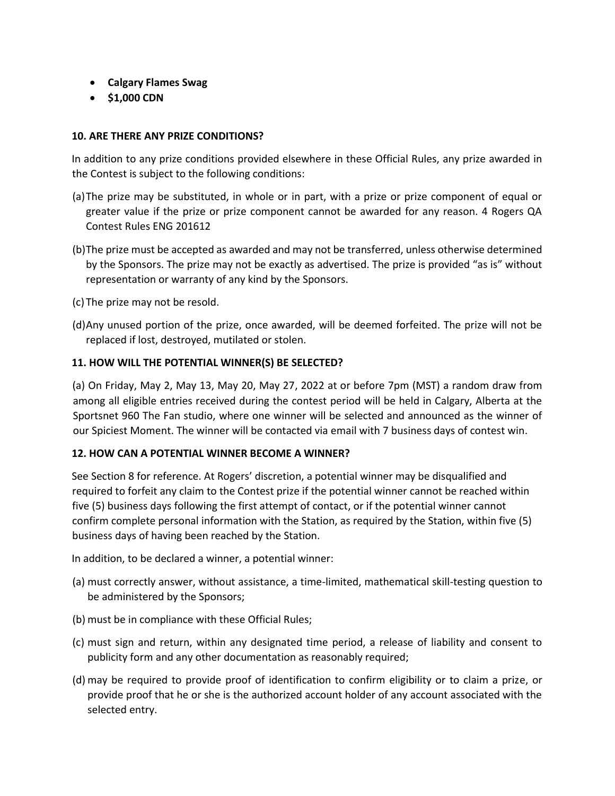- **Calgary Flames Swag**
- **\$1,000 CDN**

# **10. ARE THERE ANY PRIZE CONDITIONS?**

In addition to any prize conditions provided elsewhere in these Official Rules, any prize awarded in the Contest is subject to the following conditions:

- (a)The prize may be substituted, in whole or in part, with a prize or prize component of equal or greater value if the prize or prize component cannot be awarded for any reason. 4 Rogers QA Contest Rules ENG 201612
- (b)The prize must be accepted as awarded and may not be transferred, unless otherwise determined by the Sponsors. The prize may not be exactly as advertised. The prize is provided "as is" without representation or warranty of any kind by the Sponsors.
- (c) The prize may not be resold.
- (d)Any unused portion of the prize, once awarded, will be deemed forfeited. The prize will not be replaced if lost, destroyed, mutilated or stolen.

#### **11. HOW WILL THE POTENTIAL WINNER(S) BE SELECTED?**

(a) On Friday, May 2, May 13, May 20, May 27, 2022 at or before 7pm (MST) a random draw from among all eligible entries received during the contest period will be held in Calgary, Alberta at the Sportsnet 960 The Fan studio, where one winner will be selected and announced as the winner of our Spiciest Moment. The winner will be contacted via email with 7 business days of contest win.

#### **12. HOW CAN A POTENTIAL WINNER BECOME A WINNER?**

See Section 8 for reference. At Rogers' discretion, a potential winner may be disqualified and required to forfeit any claim to the Contest prize if the potential winner cannot be reached within five (5) business days following the first attempt of contact, or if the potential winner cannot confirm complete personal information with the Station, as required by the Station, within five (5) business days of having been reached by the Station.

In addition, to be declared a winner, a potential winner:

- (a) must correctly answer, without assistance, a time-limited, mathematical skill-testing question to be administered by the Sponsors;
- (b) must be in compliance with these Official Rules;
- (c) must sign and return, within any designated time period, a release of liability and consent to publicity form and any other documentation as reasonably required;
- (d) may be required to provide proof of identification to confirm eligibility or to claim a prize, or provide proof that he or she is the authorized account holder of any account associated with the selected entry.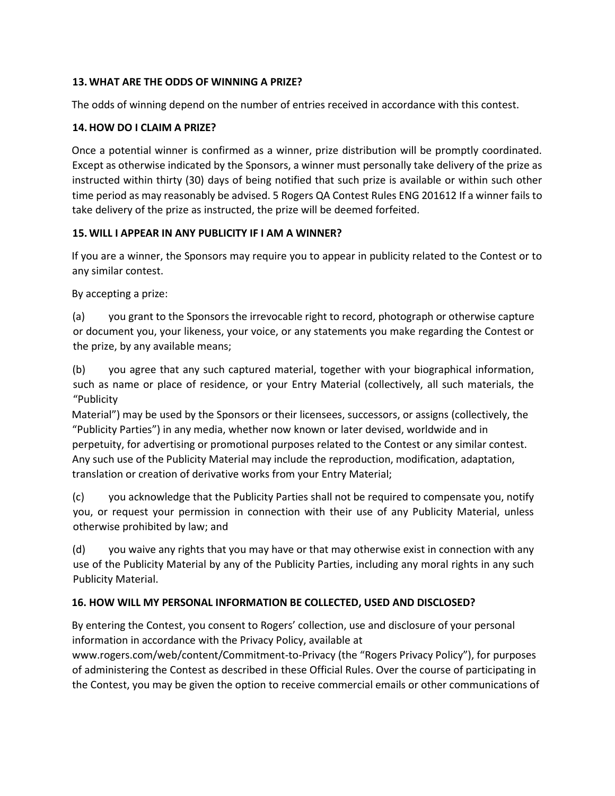# **13.WHAT ARE THE ODDS OF WINNING A PRIZE?**

The odds of winning depend on the number of entries received in accordance with this contest.

# **14.HOW DO I CLAIM A PRIZE?**

Once a potential winner is confirmed as a winner, prize distribution will be promptly coordinated. Except as otherwise indicated by the Sponsors, a winner must personally take delivery of the prize as instructed within thirty (30) days of being notified that such prize is available or within such other time period as may reasonably be advised. 5 Rogers QA Contest Rules ENG 201612 If a winner fails to take delivery of the prize as instructed, the prize will be deemed forfeited.

# **15.WILL I APPEAR IN ANY PUBLICITY IF I AM A WINNER?**

If you are a winner, the Sponsors may require you to appear in publicity related to the Contest or to any similar contest.

By accepting a prize:

(a) you grant to the Sponsors the irrevocable right to record, photograph or otherwise capture or document you, your likeness, your voice, or any statements you make regarding the Contest or the prize, by any available means;

(b) you agree that any such captured material, together with your biographical information, such as name or place of residence, or your Entry Material (collectively, all such materials, the "Publicity

Material") may be used by the Sponsors or their licensees, successors, or assigns (collectively, the "Publicity Parties") in any media, whether now known or later devised, worldwide and in perpetuity, for advertising or promotional purposes related to the Contest or any similar contest. Any such use of the Publicity Material may include the reproduction, modification, adaptation, translation or creation of derivative works from your Entry Material;

(c) you acknowledge that the Publicity Parties shall not be required to compensate you, notify you, or request your permission in connection with their use of any Publicity Material, unless otherwise prohibited by law; and

(d) you waive any rights that you may have or that may otherwise exist in connection with any use of the Publicity Material by any of the Publicity Parties, including any moral rights in any such Publicity Material.

# **16. HOW WILL MY PERSONAL INFORMATION BE COLLECTED, USED AND DISCLOSED?**

By entering the Contest, you consent to Rogers' collection, use and disclosure of your personal information in accordance with the Privacy Policy, available at

www.rogers.com/web/content/Commitment-to-Privacy (the "Rogers Privacy Policy"), for purposes of administering the Contest as described in these Official Rules. Over the course of participating in the Contest, you may be given the option to receive commercial emails or other communications of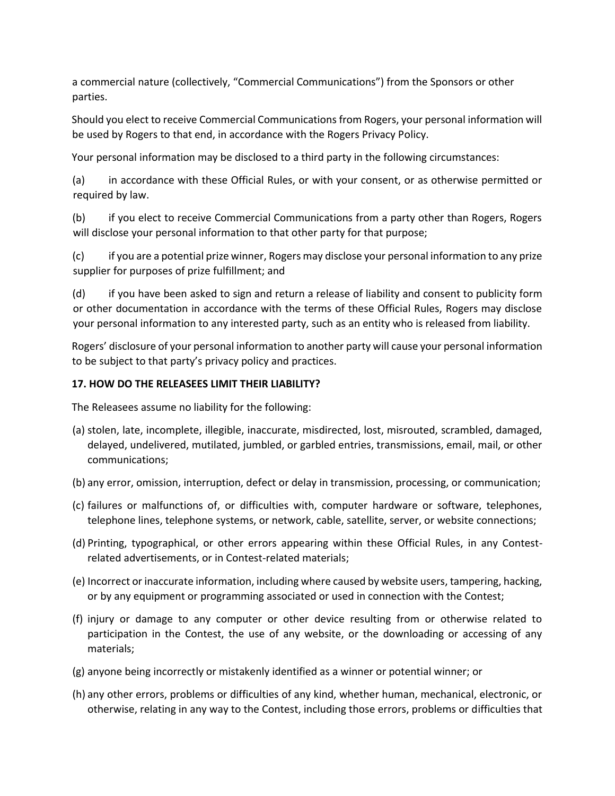a commercial nature (collectively, "Commercial Communications") from the Sponsors or other parties.

Should you elect to receive Commercial Communications from Rogers, your personal information will be used by Rogers to that end, in accordance with the Rogers Privacy Policy.

Your personal information may be disclosed to a third party in the following circumstances:

(a) in accordance with these Official Rules, or with your consent, or as otherwise permitted or required by law.

(b) if you elect to receive Commercial Communications from a party other than Rogers, Rogers will disclose your personal information to that other party for that purpose;

(c) if you are a potential prize winner, Rogers may disclose your personal information to any prize supplier for purposes of prize fulfillment; and

(d) if you have been asked to sign and return a release of liability and consent to publicity form or other documentation in accordance with the terms of these Official Rules, Rogers may disclose your personal information to any interested party, such as an entity who is released from liability.

Rogers' disclosure of your personal information to another party will cause your personal information to be subject to that party's privacy policy and practices.

# **17. HOW DO THE RELEASEES LIMIT THEIR LIABILITY?**

The Releasees assume no liability for the following:

- (a) stolen, late, incomplete, illegible, inaccurate, misdirected, lost, misrouted, scrambled, damaged, delayed, undelivered, mutilated, jumbled, or garbled entries, transmissions, email, mail, or other communications;
- (b) any error, omission, interruption, defect or delay in transmission, processing, or communication;
- (c) failures or malfunctions of, or difficulties with, computer hardware or software, telephones, telephone lines, telephone systems, or network, cable, satellite, server, or website connections;
- (d) Printing, typographical, or other errors appearing within these Official Rules, in any Contestrelated advertisements, or in Contest-related materials;
- (e) Incorrect or inaccurate information, including where caused by website users, tampering, hacking, or by any equipment or programming associated or used in connection with the Contest;
- (f) injury or damage to any computer or other device resulting from or otherwise related to participation in the Contest, the use of any website, or the downloading or accessing of any materials;
- (g) anyone being incorrectly or mistakenly identified as a winner or potential winner; or
- (h) any other errors, problems or difficulties of any kind, whether human, mechanical, electronic, or otherwise, relating in any way to the Contest, including those errors, problems or difficulties that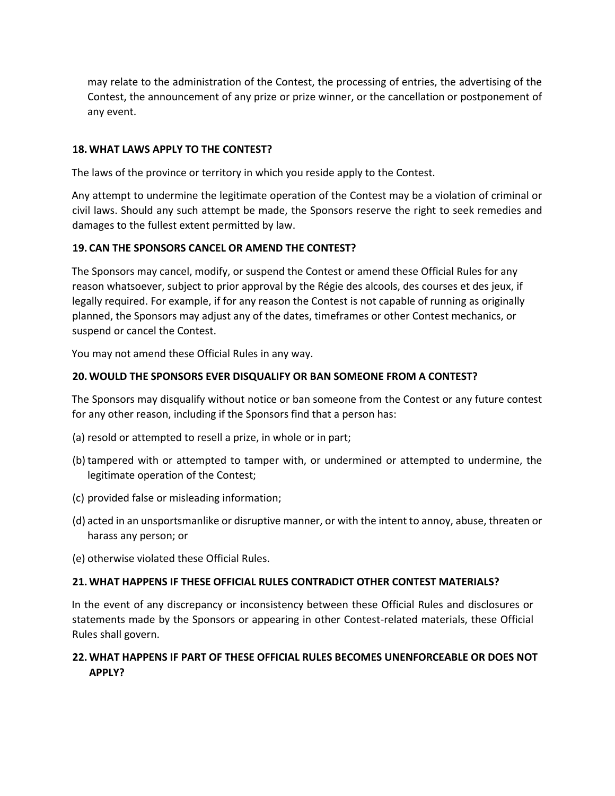may relate to the administration of the Contest, the processing of entries, the advertising of the Contest, the announcement of any prize or prize winner, or the cancellation or postponement of any event.

# **18.WHAT LAWS APPLY TO THE CONTEST?**

The laws of the province or territory in which you reside apply to the Contest.

Any attempt to undermine the legitimate operation of the Contest may be a violation of criminal or civil laws. Should any such attempt be made, the Sponsors reserve the right to seek remedies and damages to the fullest extent permitted by law.

# **19. CAN THE SPONSORS CANCEL OR AMEND THE CONTEST?**

The Sponsors may cancel, modify, or suspend the Contest or amend these Official Rules for any reason whatsoever, subject to prior approval by the Régie des alcools, des courses et des jeux, if legally required. For example, if for any reason the Contest is not capable of running as originally planned, the Sponsors may adjust any of the dates, timeframes or other Contest mechanics, or suspend or cancel the Contest.

You may not amend these Official Rules in any way.

# **20.WOULD THE SPONSORS EVER DISQUALIFY OR BAN SOMEONE FROM A CONTEST?**

The Sponsors may disqualify without notice or ban someone from the Contest or any future contest for any other reason, including if the Sponsors find that a person has:

- (a) resold or attempted to resell a prize, in whole or in part;
- (b) tampered with or attempted to tamper with, or undermined or attempted to undermine, the legitimate operation of the Contest;
- (c) provided false or misleading information;
- (d) acted in an unsportsmanlike or disruptive manner, or with the intent to annoy, abuse, threaten or harass any person; or
- (e) otherwise violated these Official Rules.

#### **21.WHAT HAPPENS IF THESE OFFICIAL RULES CONTRADICT OTHER CONTEST MATERIALS?**

In the event of any discrepancy or inconsistency between these Official Rules and disclosures or statements made by the Sponsors or appearing in other Contest-related materials, these Official Rules shall govern.

# **22.WHAT HAPPENS IF PART OF THESE OFFICIAL RULES BECOMES UNENFORCEABLE OR DOES NOT APPLY?**